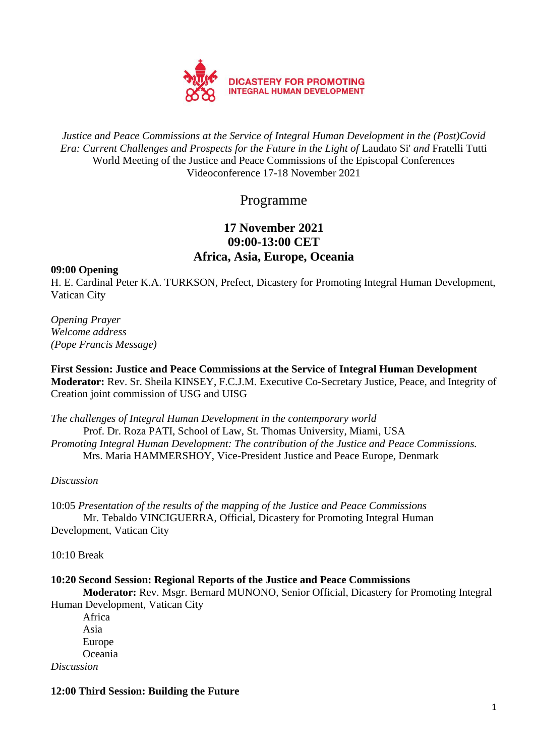

*Justice and Peace Commissions at the Service of Integral Human Development in the (Post)Covid Era: Current Challenges and Prospects for the Future in the Light of* Laudato Si' *and* Fratelli Tutti World Meeting of the Justice and Peace Commissions of the Episcopal Conferences Videoconference 17-18 November 2021

Programme

# **17 November 2021 09:00-13:00 CET Africa, Asia, Europe, Oceania**

## **09:00 Opening**

H. E. Cardinal Peter K.A. TURKSON, Prefect, Dicastery for Promoting Integral Human Development, Vatican City

*Opening Prayer Welcome address (Pope Francis Message)*

**First Session: Justice and Peace Commissions at the Service of Integral Human Development Moderator:** Rev. Sr. Sheila KINSEY, F.C.J.M. Executive Co-Secretary Justice, Peace, and Integrity of Creation joint commission of USG and UISG

*The challenges of Integral Human Development in the contemporary world* Prof. Dr. Roza PATI, School of Law, St. Thomas University, Miami, USA *Promoting Integral Human Development: The contribution of the Justice and Peace Commissions.*  Mrs. Maria HAMMERSHOY, Vice-President Justice and Peace Europe, Denmark

# *Discussion*

10:05 *Presentation of the results of the mapping of the Justice and Peace Commissions* Mr. Tebaldo VINCIGUERRA, Official, Dicastery for Promoting Integral Human Development, Vatican City

10:10 Break

# **10:20 Second Session: Regional Reports of the Justice and Peace Commissions**

**Moderator:** Rev. Msgr. Bernard MUNONO, Senior Official, Dicastery for Promoting Integral Human Development, Vatican City

Africa Asia Europe Oceania

*Discussion*

# **12:00 Third Session: Building the Future**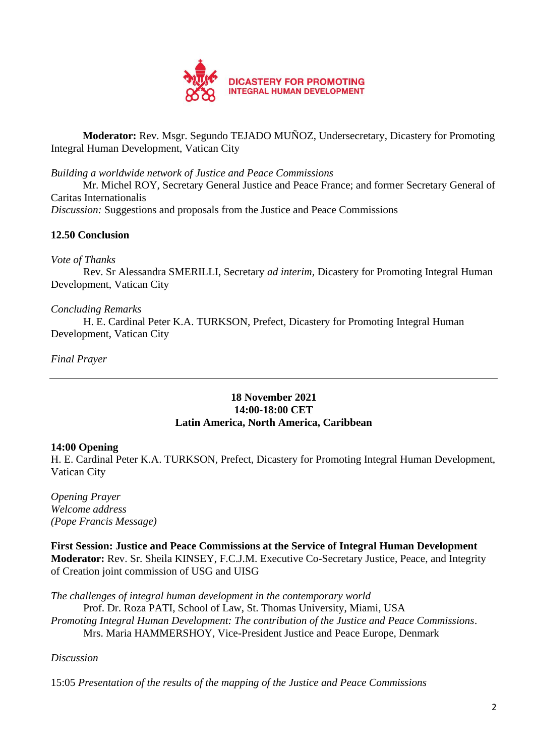

**Moderator:** Rev. Msgr. Segundo TEJADO MUÑOZ, Undersecretary, Dicastery for Promoting Integral Human Development, Vatican City

*Building a worldwide network of Justice and Peace Commissions*

Mr. Michel ROY, Secretary General Justice and Peace France; and former Secretary General of Caritas Internationalis

*Discussion:* Suggestions and proposals from the Justice and Peace Commissions

# **12.50 Conclusion**

## *Vote of Thanks*

Rev. Sr Alessandra SMERILLI, Secretary *ad interim,* Dicastery for Promoting Integral Human Development, Vatican City

# *Concluding Remarks*

H. E. Cardinal Peter K.A. TURKSON, Prefect, Dicastery for Promoting Integral Human Development, Vatican City

## *Final Prayer*

## **18 November 2021 14:00-18:00 CET Latin America, North America, Caribbean**

#### **14:00 Opening**

H. E. Cardinal Peter K.A. TURKSON, Prefect, Dicastery for Promoting Integral Human Development, Vatican City

*Opening Prayer Welcome address (Pope Francis Message)*

**First Session: Justice and Peace Commissions at the Service of Integral Human Development Moderator:** Rev. Sr. Sheila KINSEY, F.C.J.M. Executive Co-Secretary Justice, Peace, and Integrity of Creation joint commission of USG and UISG

*The challenges of integral human development in the contemporary world*

Prof. Dr. Roza PATI, School of Law, St. Thomas University, Miami, USA

*Promoting Integral Human Development: The contribution of the Justice and Peace Commissions*.

Mrs. Maria HAMMERSHOY, Vice-President Justice and Peace Europe, Denmark

# *Discussion*

15:05 *Presentation of the results of the mapping of the Justice and Peace Commissions*